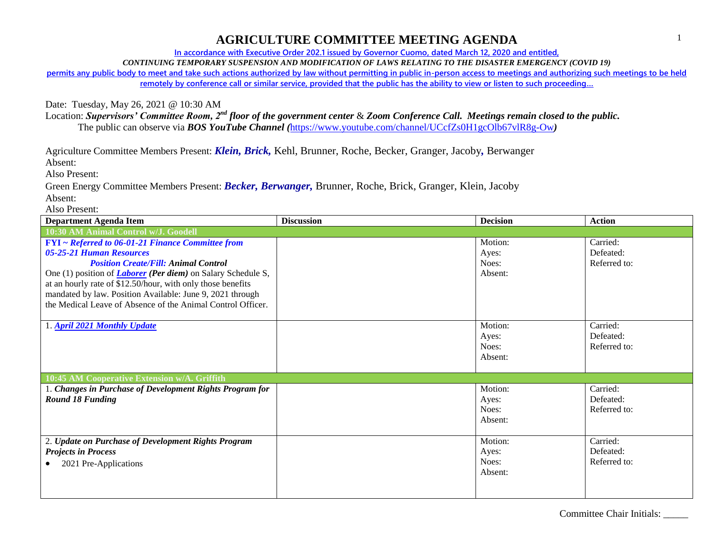**In accordance with Executive Order 202.1 issued by Governor Cuomo, dated March 12, 2020 and entitled,**

*CONTINUING TEMPORARY SUSPENSION AND MODIFICATION OF LAWS RELATING TO THE DISASTER EMERGENCY (COVID 19)*

**permits any public body to meet and take such actions authorized by law without permitting in public in-person access to meetings and authorizing such meetings to be held remotely by conference call or similar service, provided that the public has the ability to view or listen to such proceeding…**

Date: Tuesday, May 26, 2021 @ 10:30 AM

Location: *Supervisors' Committee Room, 2nd floor of the government center* & *Zoom Conference Call. Meetings remain closed to the public.* The public can observe via *BOS YouTube Channel (*<https://www.youtube.com/channel/UCcfZs0H1gcOlb67vlR8g-Ow>*)*

Agriculture Committee Members Present: *Klein, Brick,* Kehl, Brunner, Roche, Becker, Granger, Jacoby*,* Berwanger

Absent:

Also Present:

Green Energy Committee Members Present: *Becker, Berwanger,* Brunner, Roche, Brick, Granger, Klein, Jacoby Absent:

Also Present:

| <b>Department Agenda Item</b>                                                | <b>Discussion</b> | <b>Decision</b> | <b>Action</b> |
|------------------------------------------------------------------------------|-------------------|-----------------|---------------|
| 10:30 AM Animal Control w/J. Goodell                                         |                   |                 |               |
| FYI ~ Referred to 06-01-21 Finance Committee from                            |                   | Motion:         | Carried:      |
| 05-25-21 Human Resources                                                     |                   | Ayes:           | Defeated:     |
| <b>Position Create/Fill: Animal Control</b>                                  |                   | Noes:           | Referred to:  |
| One (1) position of <i>Laborer</i> ( <i>Per diem</i> ) on Salary Schedule S, |                   | Absent:         |               |
| at an hourly rate of \$12.50/hour, with only those benefits                  |                   |                 |               |
| mandated by law. Position Available: June 9, 2021 through                    |                   |                 |               |
| the Medical Leave of Absence of the Animal Control Officer.                  |                   |                 |               |
|                                                                              |                   |                 |               |
| 1. April 2021 Monthly Update                                                 |                   | Motion:         | Carried:      |
|                                                                              |                   | Ayes:           | Defeated:     |
|                                                                              |                   | Noes:           | Referred to:  |
|                                                                              |                   | Absent:         |               |
|                                                                              |                   |                 |               |
| 10:45 AM Cooperative Extension w/A. Griffith                                 |                   |                 |               |
| 1. Changes in Purchase of Development Rights Program for                     |                   | Motion:         | Carried:      |
| <b>Round 18 Funding</b>                                                      |                   | Ayes:           | Defeated:     |
|                                                                              |                   | Noes:           | Referred to:  |
|                                                                              |                   | Absent:         |               |
|                                                                              |                   | Motion:         | Carried:      |
| 2. Update on Purchase of Development Rights Program                          |                   |                 |               |
| <b>Projects in Process</b>                                                   |                   | Ayes:           | Defeated:     |
| 2021 Pre-Applications                                                        |                   | Noes:           | Referred to:  |
|                                                                              |                   | Absent:         |               |
|                                                                              |                   |                 |               |
|                                                                              |                   |                 |               |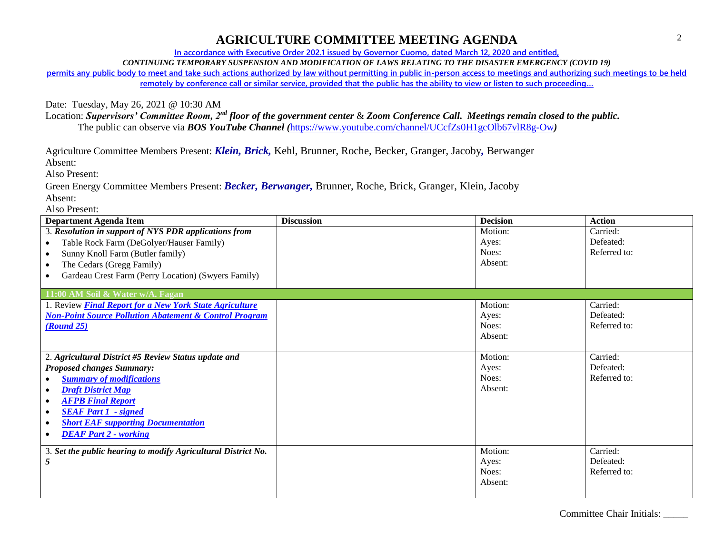**In accordance with Executive Order 202.1 issued by Governor Cuomo, dated March 12, 2020 and entitled,**

*CONTINUING TEMPORARY SUSPENSION AND MODIFICATION OF LAWS RELATING TO THE DISASTER EMERGENCY (COVID 19)*

**permits any public body to meet and take such actions authorized by law without permitting in public in-person access to meetings and authorizing such meetings to be held remotely by conference call or similar service, provided that the public has the ability to view or listen to such proceeding…**

Date: Tuesday, May 26, 2021 @ 10:30 AM

Location: *Supervisors' Committee Room, 2nd floor of the government center* & *Zoom Conference Call. Meetings remain closed to the public.* The public can observe via *BOS YouTube Channel (*<https://www.youtube.com/channel/UCcfZs0H1gcOlb67vlR8g-Ow>*)*

Agriculture Committee Members Present: *Klein, Brick,* Kehl, Brunner, Roche, Becker, Granger, Jacoby*,* Berwanger

Absent:

Also Present:

Green Energy Committee Members Present: *Becker, Berwanger,* Brunner, Roche, Brick, Granger, Klein, Jacoby Absent:

Also Present:

| <b>Department Agenda Item</b>                                     | <b>Discussion</b> | <b>Decision</b> | <b>Action</b> |
|-------------------------------------------------------------------|-------------------|-----------------|---------------|
| 3. Resolution in support of NYS PDR applications from             |                   | Motion:         | Carried:      |
| Table Rock Farm (DeGolyer/Hauser Family)<br>$\bullet$             |                   | Ayes:           | Defeated:     |
| Sunny Knoll Farm (Butler family)<br>$\bullet$                     |                   | Noes:           | Referred to:  |
| The Cedars (Gregg Family)<br>$\bullet$                            |                   | Absent:         |               |
| Gardeau Crest Farm (Perry Location) (Swyers Family)<br>$\bullet$  |                   |                 |               |
|                                                                   |                   |                 |               |
| 11:00 AM Soil & Water w/A. Fagan                                  |                   |                 |               |
| 1. Review Final Report for a New York State Agriculture           |                   | Motion:         | Carried:      |
| <b>Non-Point Source Pollution Abatement &amp; Control Program</b> |                   | Ayes:           | Defeated:     |
| (Round 25)                                                        |                   | Noes:           | Referred to:  |
|                                                                   |                   | Absent:         |               |
|                                                                   |                   |                 |               |
| 2. Agricultural District #5 Review Status update and              |                   | Motion:         | Carried:      |
| <b>Proposed changes Summary:</b>                                  |                   | Ayes:           | Defeated:     |
| <b>Summary of modifications</b>                                   |                   | Noes:           | Referred to:  |
| <b>Draft District Map</b><br>$\bullet$                            |                   | Absent:         |               |
| <b>AFPB Final Report</b><br>$\bullet$                             |                   |                 |               |
| <b>SEAF Part 1 - signed</b><br>$\bullet$                          |                   |                 |               |
| <b>Short EAF supporting Documentation</b><br>$\bullet$            |                   |                 |               |
| <b>DEAF Part 2 - working</b><br>$\bullet$                         |                   |                 |               |
|                                                                   |                   |                 |               |
| 3. Set the public hearing to modify Agricultural District No.     |                   | Motion:         | Carried:      |
|                                                                   |                   | Ayes:           | Defeated:     |
|                                                                   |                   | Noes:           | Referred to:  |
|                                                                   |                   | Absent:         |               |
|                                                                   |                   |                 |               |

Committee Chair Initials: \_\_\_\_\_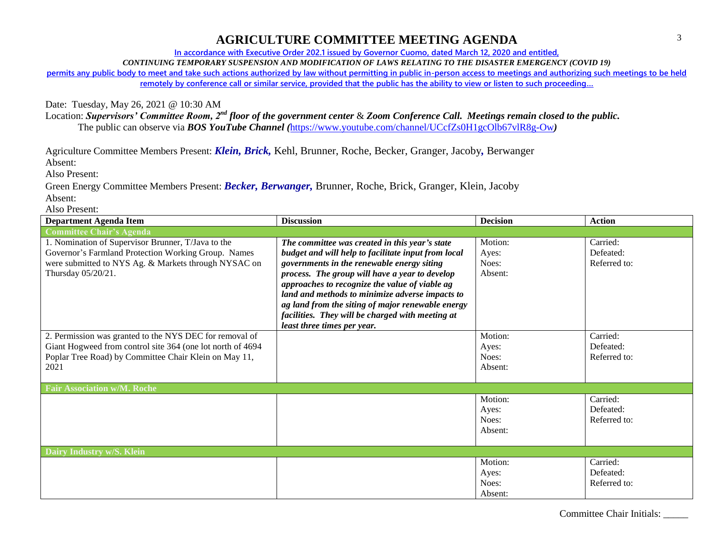**In accordance with Executive Order 202.1 issued by Governor Cuomo, dated March 12, 2020 and entitled,**

*CONTINUING TEMPORARY SUSPENSION AND MODIFICATION OF LAWS RELATING TO THE DISASTER EMERGENCY (COVID 19)*

**permits any public body to meet and take such actions authorized by law without permitting in public in-person access to meetings and authorizing such meetings to be held remotely by conference call or similar service, provided that the public has the ability to view or listen to such proceeding…**

Date: Tuesday, May 26, 2021 @ 10:30 AM

Location: *Supervisors' Committee Room, 2nd floor of the government center* & *Zoom Conference Call. Meetings remain closed to the public.* The public can observe via *BOS YouTube Channel (*<https://www.youtube.com/channel/UCcfZs0H1gcOlb67vlR8g-Ow>*)*

Agriculture Committee Members Present: *Klein, Brick,* Kehl, Brunner, Roche, Becker, Granger, Jacoby*,* Berwanger

Absent:

Also Present:

Green Energy Committee Members Present: *Becker, Berwanger,* Brunner, Roche, Brick, Granger, Klein, Jacoby Absent:

Also Present:

| <b>Department Agenda Item</b>                                                                                                                                                           | <b>Discussion</b>                                                                                                                                                                                                                                                                                                                                                                                                                                  | <b>Decision</b>                      | <b>Action</b>                         |  |
|-----------------------------------------------------------------------------------------------------------------------------------------------------------------------------------------|----------------------------------------------------------------------------------------------------------------------------------------------------------------------------------------------------------------------------------------------------------------------------------------------------------------------------------------------------------------------------------------------------------------------------------------------------|--------------------------------------|---------------------------------------|--|
| <b>Committee Chair's Agenda</b>                                                                                                                                                         |                                                                                                                                                                                                                                                                                                                                                                                                                                                    |                                      |                                       |  |
| 1. Nomination of Supervisor Brunner, T/Java to the<br>Governor's Farmland Protection Working Group. Names<br>were submitted to NYS Ag. & Markets through NYSAC on<br>Thursday 05/20/21. | The committee was created in this year's state<br>budget and will help to facilitate input from local<br>governments in the renewable energy siting<br>process. The group will have a year to develop<br>approaches to recognize the value of viable ag<br>land and methods to minimize adverse impacts to<br>ag land from the siting of major renewable energy<br>facilities. They will be charged with meeting at<br>least three times per year. | Motion:<br>Ayes:<br>Noes:<br>Absent: | Carried:<br>Defeated:<br>Referred to: |  |
| 2. Permission was granted to the NYS DEC for removal of<br>Giant Hogweed from control site 364 (one lot north of 4694<br>Poplar Tree Road) by Committee Chair Klein on May 11,<br>2021  |                                                                                                                                                                                                                                                                                                                                                                                                                                                    | Motion:<br>Ayes:<br>Noes:<br>Absent: | Carried:<br>Defeated:<br>Referred to: |  |
| <b>Fair Association w/M. Roche</b>                                                                                                                                                      |                                                                                                                                                                                                                                                                                                                                                                                                                                                    |                                      |                                       |  |
|                                                                                                                                                                                         |                                                                                                                                                                                                                                                                                                                                                                                                                                                    | Motion:<br>Ayes:<br>Noes:<br>Absent: | Carried:<br>Defeated:<br>Referred to: |  |
| Dairy Industry w/S. Klein                                                                                                                                                               |                                                                                                                                                                                                                                                                                                                                                                                                                                                    |                                      |                                       |  |
|                                                                                                                                                                                         |                                                                                                                                                                                                                                                                                                                                                                                                                                                    | Motion:<br>Ayes:<br>Noes:<br>Absent: | Carried:<br>Defeated:<br>Referred to: |  |

Committee Chair Initials: \_\_\_\_\_